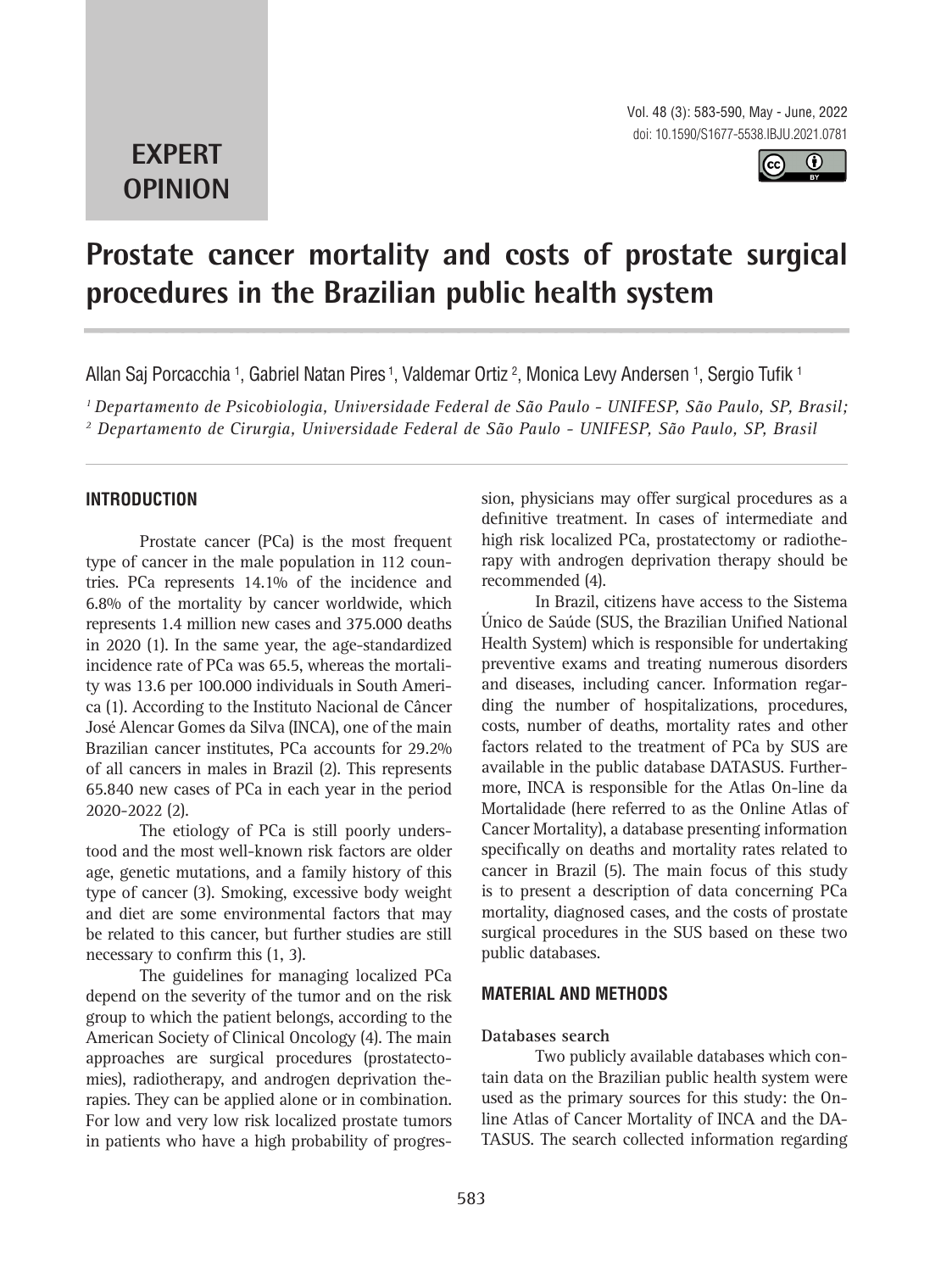## **EXPERT OPINION**



# **Prostate cancer mortality and costs of prostate surgical procedures in the Brazilian public health system 1**

Allan Saj Porcacchia <sup>1</sup>, Gabriel Natan Pires <sup>1</sup>, Valdemar Ortiz <sup>2</sup>, Monica Levy Andersen <sup>1</sup>, Sergio Tufik <sup>1</sup>

*1 Departamento de Psicobiologia, Universidade Federal de São Paulo - UNIFESP, São Paulo, SP, Brasil; 2 Departamento de Cirurgia, Universidade Federal de São Paulo - UNIFESP, São Paulo, SP, Brasil*

## **INTRODUCTION**

Prostate cancer (PCa) is the most frequent type of cancer in the male population in 112 countries. PCa represents 14.1% of the incidence and 6.8% of the mortality by cancer worldwide, which represents 1.4 million new cases and 375.000 deaths in 2020 (1). In the same year, the age-standardized incidence rate of PCa was 65.5, whereas the mortality was 13.6 per 100.000 individuals in South America (1). According to the Instituto Nacional de Câncer José Alencar Gomes da Silva (INCA), one of the main Brazilian cancer institutes, PCa accounts for 29.2% of all cancers in males in Brazil (2). This represents 65.840 new cases of PCa in each year in the period 2020-2022 (2).

The etiology of PCa is still poorly understood and the most well-known risk factors are older age, genetic mutations, and a family history of this type of cancer (3). Smoking, excessive body weight and diet are some environmental factors that may be related to this cancer, but further studies are still necessary to confirm this (1, 3).

The guidelines for managing localized PCa depend on the severity of the tumor and on the risk group to which the patient belongs, according to the American Society of Clinical Oncology (4). The main approaches are surgical procedures (prostatectomies), radiotherapy, and androgen deprivation therapies. They can be applied alone or in combination. For low and very low risk localized prostate tumors in patients who have a high probability of progression, physicians may offer surgical procedures as a definitive treatment. In cases of intermediate and high risk localized PCa, prostatectomy or radiotherapy with androgen deprivation therapy should be recommended (4).

In Brazil, citizens have access to the Sistema Único de Saúde (SUS, the Brazilian Unified National Health System) which is responsible for undertaking preventive exams and treating numerous disorders and diseases, including cancer. Information regarding the number of hospitalizations, procedures, costs, number of deaths, mortality rates and other factors related to the treatment of PCa by SUS are available in the public database DATASUS. Furthermore, INCA is responsible for the Atlas On-line da Mortalidade (here referred to as the Online Atlas of Cancer Mortality), a database presenting information specifically on deaths and mortality rates related to cancer in Brazil (5). The main focus of this study is to present a description of data concerning PCa mortality, diagnosed cases, and the costs of prostate surgical procedures in the SUS based on these two public databases.

## **MATERIAL AND METHODS**

#### **Databases search**

Two publicly available databases which contain data on the Brazilian public health system were used as the primary sources for this study: the Online Atlas of Cancer Mortality of INCA and the DA-TASUS. The search collected information regarding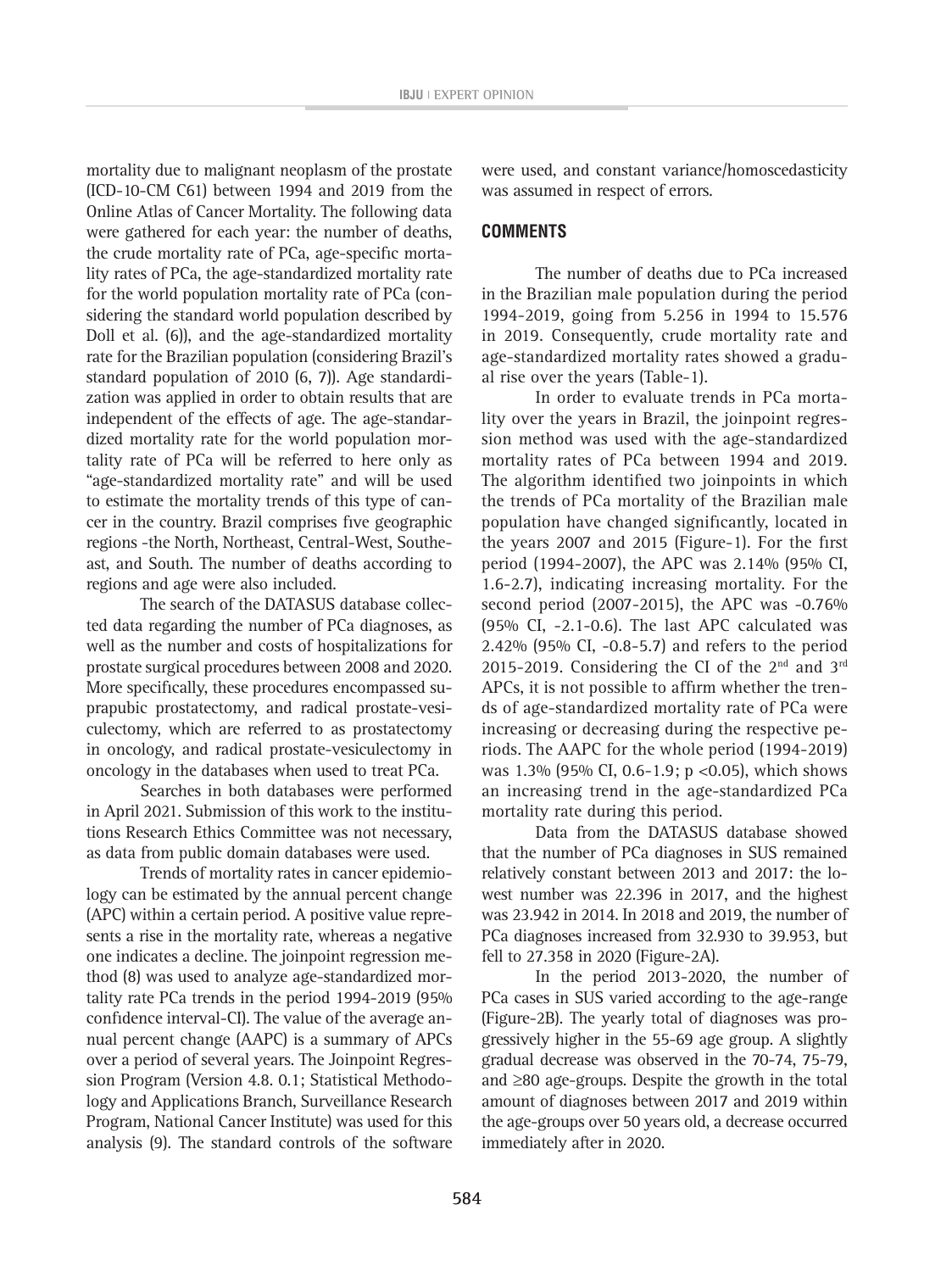mortality due to malignant neoplasm of the prostate (ICD-10-CM C61) between 1994 and 2019 from the Online Atlas of Cancer Mortality. The following data were gathered for each year: the number of deaths, the crude mortality rate of PCa, age-specific mortality rates of PCa, the age-standardized mortality rate for the world population mortality rate of PCa (considering the standard world population described by Doll et al. (6)), and the age-standardized mortality rate for the Brazilian population (considering Brazil's standard population of 2010 (6, 7)). Age standardization was applied in order to obtain results that are independent of the effects of age. The age-standardized mortality rate for the world population mortality rate of PCa will be referred to here only as "age-standardized mortality rate" and will be used to estimate the mortality trends of this type of cancer in the country. Brazil comprises five geographic regions -the North, Northeast, Central-West, Southeast, and South. The number of deaths according to regions and age were also included.

The search of the DATASUS database collected data regarding the number of PCa diagnoses, as well as the number and costs of hospitalizations for prostate surgical procedures between 2008 and 2020. More specifically, these procedures encompassed suprapubic prostatectomy, and radical prostate-vesiculectomy, which are referred to as prostatectomy in oncology, and radical prostate-vesiculectomy in oncology in the databases when used to treat PCa.

Searches in both databases were performed in April 2021. Submission of this work to the institutions Research Ethics Committee was not necessary, as data from public domain databases were used.

Trends of mortality rates in cancer epidemiology can be estimated by the annual percent change (APC) within a certain period. A positive value represents a rise in the mortality rate, whereas a negative one indicates a decline. The joinpoint regression method (8) was used to analyze age-standardized mortality rate PCa trends in the period 1994-2019 (95% confidence interval-CI). The value of the average annual percent change (AAPC) is a summary of APCs over a period of several years. The Joinpoint Regression Program (Version 4.8. 0.1; Statistical Methodology and Applications Branch, Surveillance Research Program, National Cancer Institute) was used for this analysis (9). The standard controls of the software

were used, and constant variance/homoscedasticity was assumed in respect of errors.

## **COMMENTS**

The number of deaths due to PCa increased in the Brazilian male population during the period 1994-2019, going from 5.256 in 1994 to 15.576 in 2019. Consequently, crude mortality rate and age-standardized mortality rates showed a gradual rise over the years (Table-1).

In order to evaluate trends in PCa mortality over the years in Brazil, the joinpoint regression method was used with the age-standardized mortality rates of PCa between 1994 and 2019. The algorithm identified two joinpoints in which the trends of PCa mortality of the Brazilian male population have changed significantly, located in the years 2007 and 2015 (Figure-1). For the first period (1994-2007), the APC was 2.14% (95% CI, 1.6-2.7), indicating increasing mortality. For the second period (2007-2015), the APC was -0.76% (95% CI, -2.1-0.6). The last APC calculated was 2.42% (95% CI, -0.8-5.7) and refers to the period 2015-2019. Considering the CI of the  $2<sup>nd</sup>$  and  $3<sup>rd</sup>$ APCs, it is not possible to affirm whether the trends of age-standardized mortality rate of PCa were increasing or decreasing during the respective periods. The AAPC for the whole period (1994-2019) was 1.3% (95% CI, 0.6-1.9; p <0.05), which shows an increasing trend in the age-standardized PCa mortality rate during this period.

Data from the DATASUS database showed that the number of PCa diagnoses in SUS remained relatively constant between 2013 and 2017: the lowest number was 22.396 in 2017, and the highest was 23.942 in 2014. In 2018 and 2019, the number of PCa diagnoses increased from 32.930 to 39.953, but fell to 27.358 in 2020 (Figure-2A).

In the period 2013-2020, the number of PCa cases in SUS varied according to the age-range (Figure-2B). The yearly total of diagnoses was progressively higher in the 55-69 age group. A slightly gradual decrease was observed in the 70-74, 75-79, and ≥80 age-groups. Despite the growth in the total amount of diagnoses between 2017 and 2019 within the age-groups over 50 years old, a decrease occurred immediately after in 2020.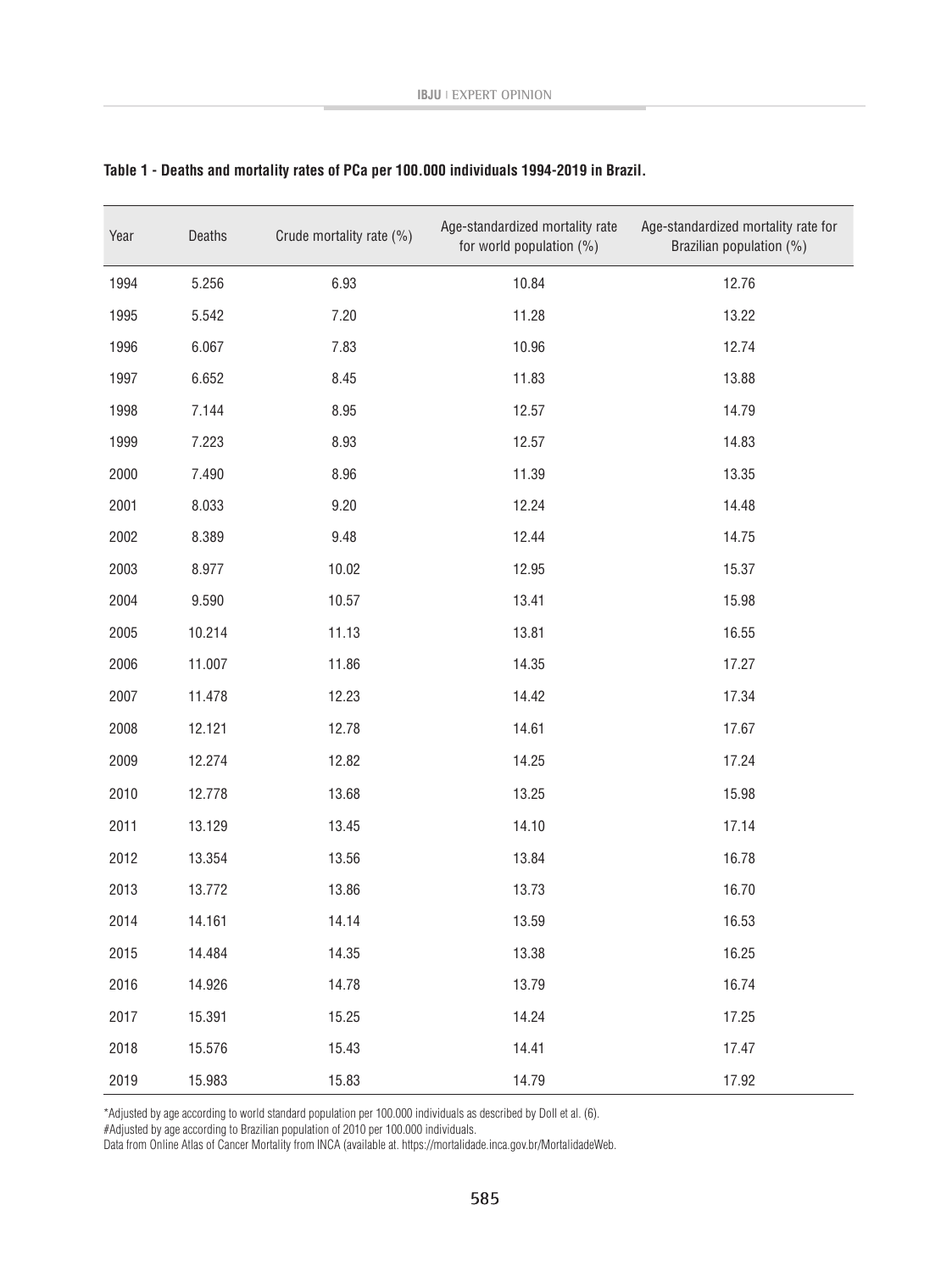| Year | Deaths | Crude mortality rate (%) | Age-standardized mortality rate<br>for world population (%) | Age-standardized mortality rate for<br>Brazilian population (%) |
|------|--------|--------------------------|-------------------------------------------------------------|-----------------------------------------------------------------|
| 1994 | 5.256  | 6.93                     | 10.84                                                       | 12.76                                                           |
| 1995 | 5.542  | 7.20                     | 11.28                                                       | 13.22                                                           |
| 1996 | 6.067  | 7.83                     | 10.96                                                       | 12.74                                                           |
| 1997 | 6.652  | 8.45                     | 11.83                                                       | 13.88                                                           |
| 1998 | 7.144  | 8.95                     | 12.57                                                       | 14.79                                                           |
| 1999 | 7.223  | 8.93                     | 12.57                                                       | 14.83                                                           |
| 2000 | 7.490  | 8.96                     | 11.39                                                       | 13.35                                                           |
| 2001 | 8.033  | 9.20                     | 12.24                                                       | 14.48                                                           |
| 2002 | 8.389  | 9.48                     | 12.44                                                       | 14.75                                                           |
| 2003 | 8.977  | 10.02                    | 12.95                                                       | 15.37                                                           |
| 2004 | 9.590  | 10.57                    | 13.41                                                       | 15.98                                                           |
| 2005 | 10.214 | 11.13                    | 13.81                                                       | 16.55                                                           |
| 2006 | 11.007 | 11.86                    | 14.35                                                       | 17.27                                                           |
| 2007 | 11.478 | 12.23                    | 14.42                                                       | 17.34                                                           |
| 2008 | 12.121 | 12.78                    | 14.61                                                       | 17.67                                                           |
| 2009 | 12.274 | 12.82                    | 14.25                                                       | 17.24                                                           |
| 2010 | 12.778 | 13.68                    | 13.25                                                       | 15.98                                                           |
| 2011 | 13.129 | 13.45                    | 14.10                                                       | 17.14                                                           |
| 2012 | 13.354 | 13.56                    | 13.84                                                       | 16.78                                                           |
| 2013 | 13.772 | 13.86                    | 13.73                                                       | 16.70                                                           |
| 2014 | 14.161 | 14.14                    | 13.59                                                       | 16.53                                                           |
| 2015 | 14.484 | 14.35                    | 13.38                                                       | 16.25                                                           |
| 2016 | 14.926 | 14.78                    | 13.79                                                       | 16.74                                                           |
| 2017 | 15.391 | 15.25                    | 14.24                                                       | 17.25                                                           |
| 2018 | 15.576 | 15.43                    | 14.41                                                       | 17.47                                                           |
| 2019 | 15.983 | 15.83                    | 14.79                                                       | 17.92                                                           |

## **Table 1 - Deaths and mortality rates of PCa per 100.000 individuals 1994-2019 in Brazil.**

\*Adjusted by age according to world standard population per 100.000 individuals as described by Doll et al. (6).

#Adjusted by age according to Brazilian population of 2010 per 100.000 individuals.

Data from Online Atlas of Cancer Mortality from INCA (available at. https://mortalidade.inca.gov.br/MortalidadeWeb.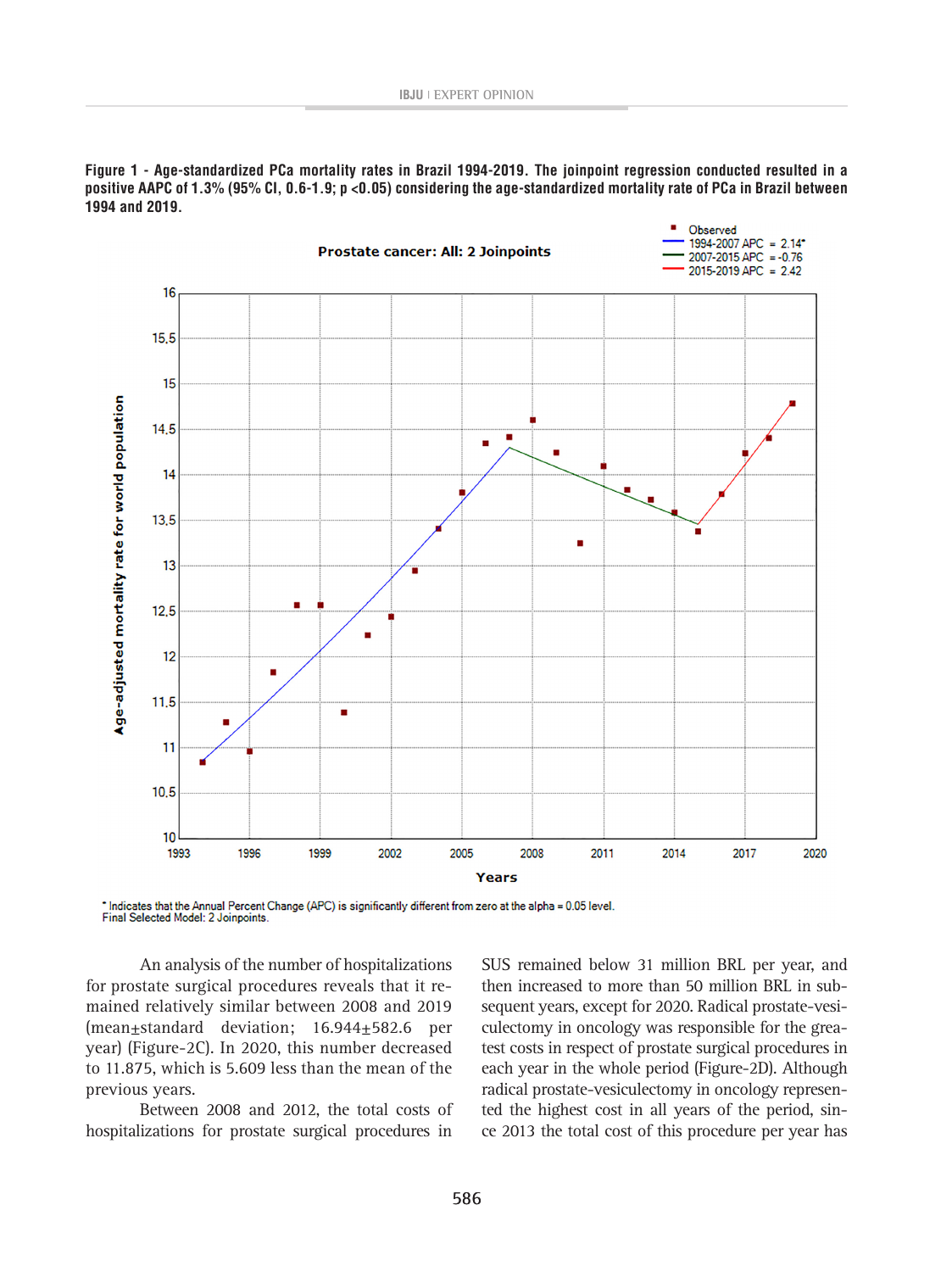**Figure 1 - Age-standardized PCa mortality rates in Brazil 1994-2019. The joinpoint regression conducted resulted in a positive AAPC of 1.3% (95% CI, 0.6-1.9; p <0.05) considering the age-standardized mortality rate of PCa in Brazil between 1994 and 2019.**



\* Indicates that the Annual Percent Change (APC) is significantly different from zero at the alpha = 0.05 level.<br>Final Selected Model: 2 Joinpoints.

An analysis of the number of hospitalizations for prostate surgical procedures reveals that it remained relatively similar between 2008 and 2019 (mean±standard deviation; 16.944±582.6 per year) (Figure-2C). In 2020, this number decreased to 11.875, which is 5.609 less than the mean of the previous years.

Between 2008 and 2012, the total costs of hospitalizations for prostate surgical procedures in

SUS remained below 31 million BRL per year, and then increased to more than 50 million BRL in subsequent years, except for 2020. Radical prostate-vesiculectomy in oncology was responsible for the greatest costs in respect of prostate surgical procedures in each year in the whole period (Figure-2D). Although radical prostate-vesiculectomy in oncology represented the highest cost in all years of the period, since 2013 the total cost of this procedure per year has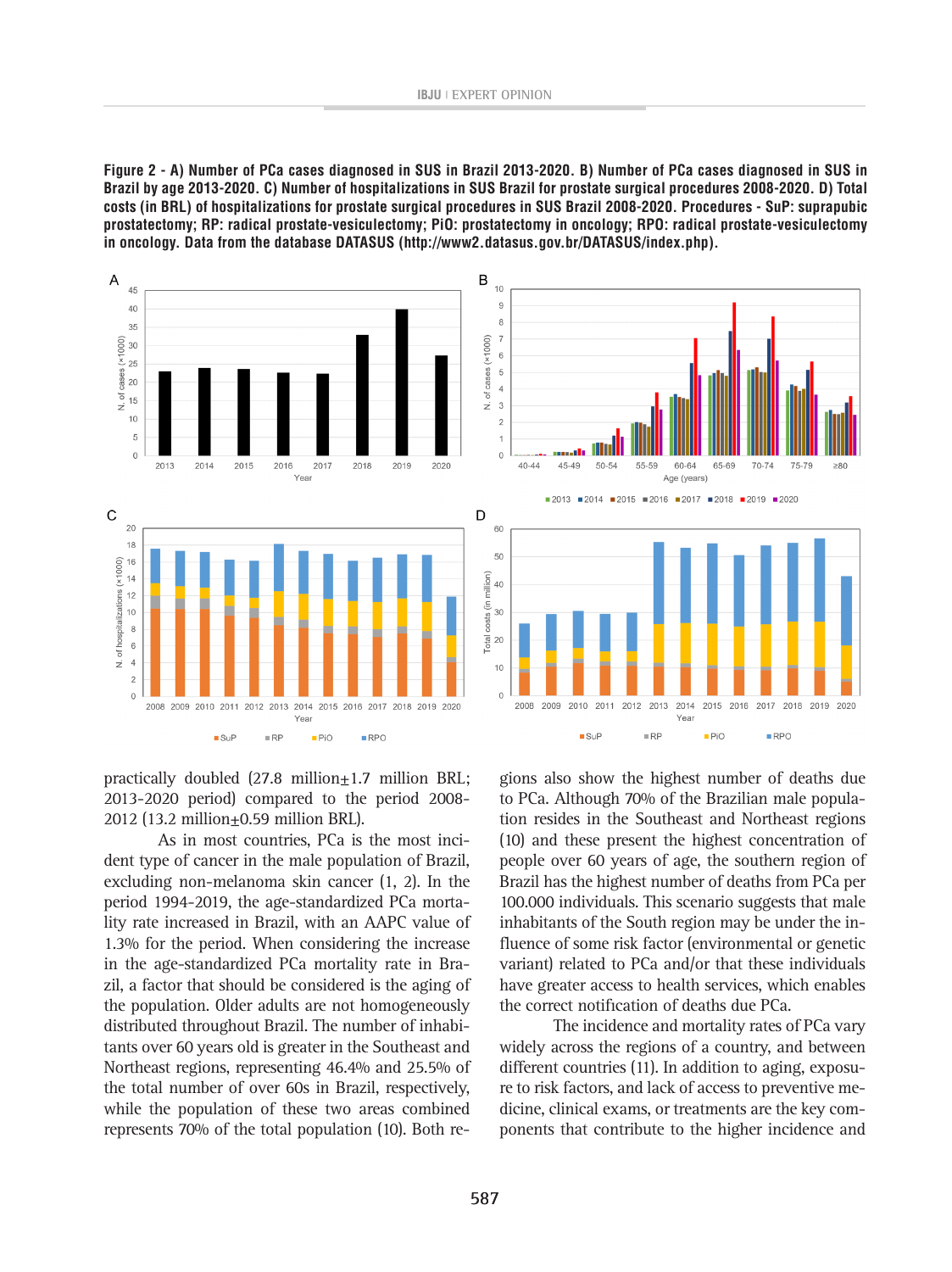**Figure 2 - A) Number of PCa cases diagnosed in SUS in Brazil 2013-2020. B) Number of PCa cases diagnosed in SUS in Brazil by age 2013-2020. C) Number of hospitalizations in SUS Brazil for prostate surgical procedures 2008-2020. D) Total costs (in BRL) of hospitalizations for prostate surgical procedures in SUS Brazil 2008-2020. Procedures - SuP: suprapubic prostatectomy; RP: radical prostate-vesiculectomy; PiO: prostatectomy in oncology; RPO: radical prostate-vesiculectomy in oncology. Data from the database DATASUS (http://www2.datasus.gov.br/DATASUS/index.php).**



practically doubled  $(27.8 \text{ million} \pm 1.7 \text{ million} BRL;$ 2013-2020 period) compared to the period 2008- 2012 (13.2 million±0.59 million BRL).

As in most countries, PCa is the most incident type of cancer in the male population of Brazil, excluding non-melanoma skin cancer (1, 2). In the period 1994-2019, the age-standardized PCa mortality rate increased in Brazil, with an AAPC value of 1.3% for the period. When considering the increase in the age-standardized PCa mortality rate in Brazil, a factor that should be considered is the aging of the population. Older adults are not homogeneously distributed throughout Brazil. The number of inhabitants over 60 years old is greater in the Southeast and Northeast regions, representing 46.4% and 25.5% of the total number of over 60s in Brazil, respectively, while the population of these two areas combined represents 70% of the total population (10). Both re-

gions also show the highest number of deaths due to PCa. Although 70% of the Brazilian male population resides in the Southeast and Northeast regions (10) and these present the highest concentration of people over 60 years of age, the southern region of Brazil has the highest number of deaths from PCa per 100.000 individuals. This scenario suggests that male inhabitants of the South region may be under the influence of some risk factor (environmental or genetic variant) related to PCa and/or that these individuals have greater access to health services, which enables the correct notification of deaths due PCa.

The incidence and mortality rates of PCa vary widely across the regions of a country, and between different countries (11). In addition to aging, exposure to risk factors, and lack of access to preventive medicine, clinical exams, or treatments are the key components that contribute to the higher incidence and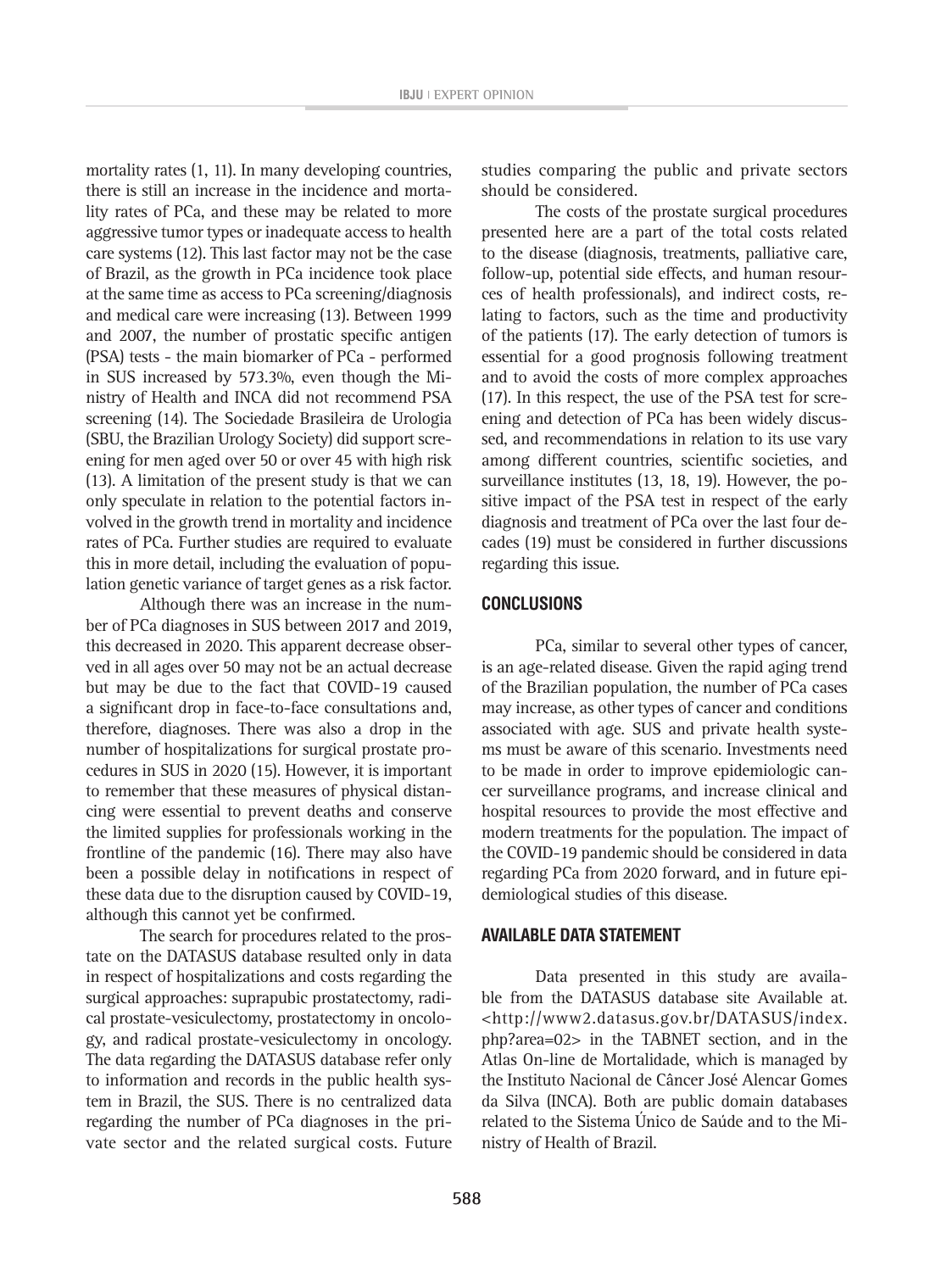mortality rates (1, 11). In many developing countries, there is still an increase in the incidence and mortality rates of PCa, and these may be related to more aggressive tumor types or inadequate access to health care systems (12). This last factor may not be the case of Brazil, as the growth in PCa incidence took place at the same time as access to PCa screening/diagnosis and medical care were increasing (13). Between 1999 and 2007, the number of prostatic specific antigen (PSA) tests - the main biomarker of PCa - performed in SUS increased by 573.3%, even though the Ministry of Health and INCA did not recommend PSA screening (14). The Sociedade Brasileira de Urologia (SBU, the Brazilian Urology Society) did support screening for men aged over 50 or over 45 with high risk (13). A limitation of the present study is that we can only speculate in relation to the potential factors involved in the growth trend in mortality and incidence rates of PCa. Further studies are required to evaluate this in more detail, including the evaluation of population genetic variance of target genes as a risk factor.

Although there was an increase in the number of PCa diagnoses in SUS between 2017 and 2019, this decreased in 2020. This apparent decrease observed in all ages over 50 may not be an actual decrease but may be due to the fact that COVID-19 caused a significant drop in face-to-face consultations and, therefore, diagnoses. There was also a drop in the number of hospitalizations for surgical prostate procedures in SUS in 2020 (15). However, it is important to remember that these measures of physical distancing were essential to prevent deaths and conserve the limited supplies for professionals working in the frontline of the pandemic (16). There may also have been a possible delay in notifications in respect of these data due to the disruption caused by COVID-19, although this cannot yet be confirmed.

The search for procedures related to the prostate on the DATASUS database resulted only in data in respect of hospitalizations and costs regarding the surgical approaches: suprapubic prostatectomy, radical prostate-vesiculectomy, prostatectomy in oncology, and radical prostate-vesiculectomy in oncology. The data regarding the DATASUS database refer only to information and records in the public health system in Brazil, the SUS. There is no centralized data regarding the number of PCa diagnoses in the private sector and the related surgical costs. Future studies comparing the public and private sectors should be considered.

The costs of the prostate surgical procedures presented here are a part of the total costs related to the disease (diagnosis, treatments, palliative care, follow-up, potential side effects, and human resources of health professionals), and indirect costs, relating to factors, such as the time and productivity of the patients (17). The early detection of tumors is essential for a good prognosis following treatment and to avoid the costs of more complex approaches (17). In this respect, the use of the PSA test for screening and detection of PCa has been widely discussed, and recommendations in relation to its use vary among different countries, scientific societies, and surveillance institutes (13, 18, 19). However, the positive impact of the PSA test in respect of the early diagnosis and treatment of PCa over the last four decades (19) must be considered in further discussions regarding this issue.

#### **CONCLUSIONS**

PCa, similar to several other types of cancer, is an age-related disease. Given the rapid aging trend of the Brazilian population, the number of PCa cases may increase, as other types of cancer and conditions associated with age. SUS and private health systems must be aware of this scenario. Investments need to be made in order to improve epidemiologic cancer surveillance programs, and increase clinical and hospital resources to provide the most effective and modern treatments for the population. The impact of the COVID-19 pandemic should be considered in data regarding PCa from 2020 forward, and in future epidemiological studies of this disease.

#### **AVAILABLE DATA STATEMENT**

Data presented in this study are available from the DATASUS database site Available at. <http://www2.datasus.gov.br/DATASUS/index. php?area=02> in the TABNET section, and in the Atlas On-line de Mortalidade, which is managed by the Instituto Nacional de Câncer José Alencar Gomes da Silva (INCA). Both are public domain databases related to the Sistema Único de Saúde and to the Ministry of Health of Brazil.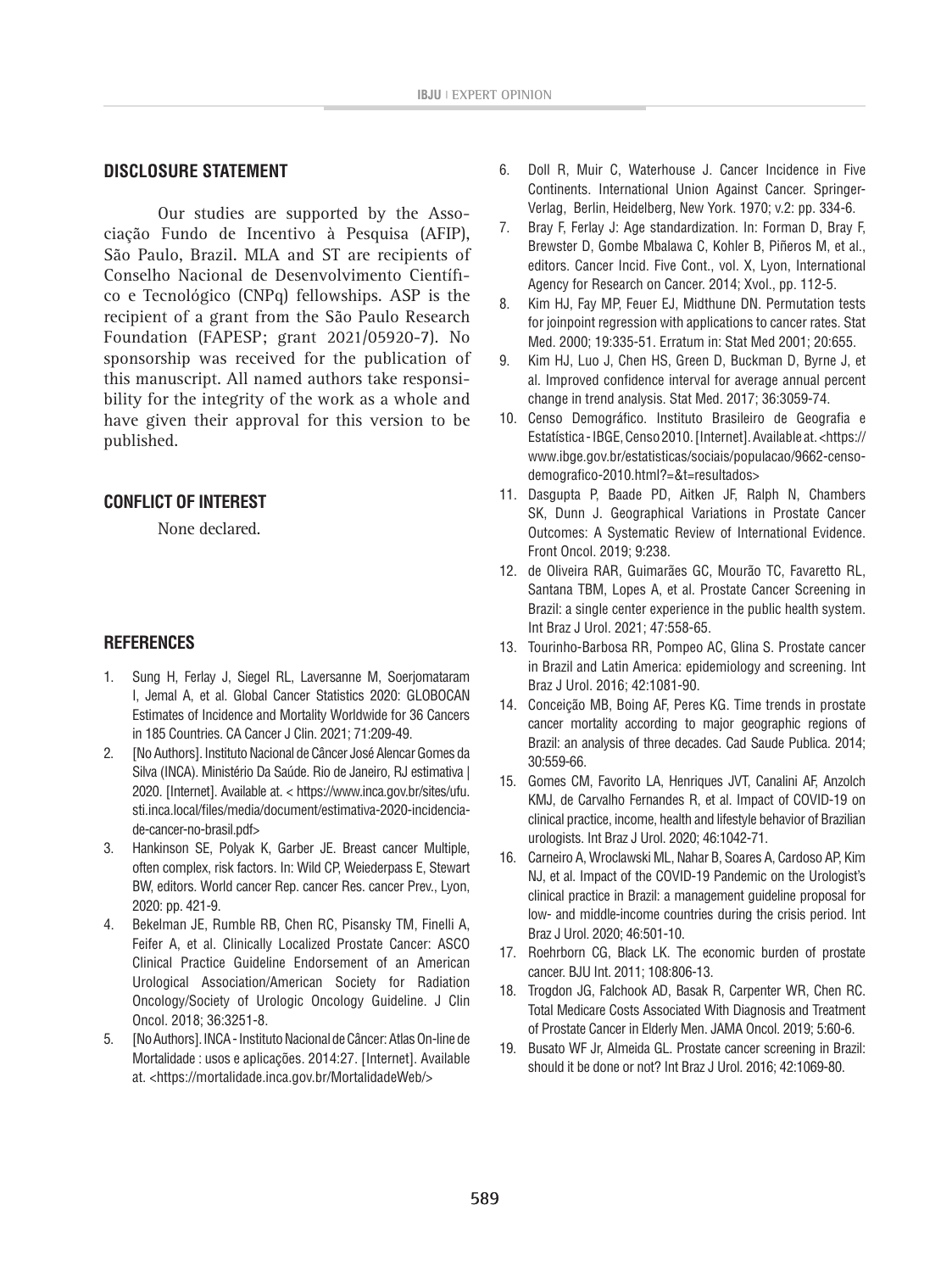#### **DISCLOSURE STATEMENT**

Our studies are supported by the Associação Fundo de Incentivo à Pesquisa (AFIP), São Paulo, Brazil. MLA and ST are recipients of Conselho Nacional de Desenvolvimento Científico e Tecnológico (CNPq) fellowships. ASP is the recipient of a grant from the São Paulo Research Foundation (FAPESP; grant 2021/05920-7). No sponsorship was received for the publication of this manuscript. All named authors take responsibility for the integrity of the work as a whole and have given their approval for this version to be published.

## **CONFLICT OF INTEREST**

None declared.

## **REFERENCES**

- 1. Sung H, Ferlay J, Siegel RL, Laversanne M, Soerjomataram I, Jemal A, et al. Global Cancer Statistics 2020: GLOBOCAN Estimates of Incidence and Mortality Worldwide for 36 Cancers in 185 Countries. CA Cancer J Clin. 2021; 71:209-49.
- 2. [No Authors]. Instituto Nacional de Câncer José Alencar Gomes da Silva (INCA). Ministério Da Saúde. Rio de Janeiro, RJ estimativa | 2020. [Internet]. Available at. < https://www.inca.gov.br/sites/ufu. sti.inca.local/files/media/document/estimativa-2020-incidenciade-cancer-no-brasil.pdf>
- 3. Hankinson SE, Polyak K, Garber JE. Breast cancer Multiple, often complex, risk factors. In: Wild CP, Weiederpass E, Stewart BW, editors. World cancer Rep. cancer Res. cancer Prev., Lyon, 2020: pp. 421-9.
- 4. Bekelman JE, Rumble RB, Chen RC, Pisansky TM, Finelli A, Feifer A, et al. Clinically Localized Prostate Cancer: ASCO Clinical Practice Guideline Endorsement of an American Urological Association/American Society for Radiation Oncology/Society of Urologic Oncology Guideline. J Clin Oncol. 2018; 36:3251-8.
- 5. [No Authors]. INCA Instituto Nacional de Câncer: Atlas On-line de Mortalidade : usos e aplicações. 2014:27. [Internet]. Available at. <https://mortalidade.inca.gov.br/MortalidadeWeb/>
- 6. Doll R, Muir C, Waterhouse J. Cancer Incidence in Five Continents. International Union Against Cancer. Springer-Verlag, Berlin, Heidelberg, New York. 1970; v.2: pp. 334-6.
- 7. Bray F, Ferlay J: Age standardization. In: Forman D, Bray F, Brewster D, Gombe Mbalawa C, Kohler B, Piñeros M, et al., editors. Cancer Incid. Five Cont., vol. X, Lyon, International Agency for Research on Cancer. 2014; Xvol., pp. 112-5.
- 8. Kim HJ, Fay MP, Feuer EJ, Midthune DN. Permutation tests for joinpoint regression with applications to cancer rates. Stat Med. 2000; 19:335-51. Erratum in: Stat Med 2001; 20:655.
- 9. Kim HJ, Luo J, Chen HS, Green D, Buckman D, Byrne J, et al. Improved confidence interval for average annual percent change in trend analysis. Stat Med. 2017; 36:3059-74.
- 10. Censo Demográfico. Instituto Brasileiro de Geografia e Estatística - IBGE, Censo 2010. [Internet]. Available at. <https:// www.ibge.gov.br/estatisticas/sociais/populacao/9662-censodemografico-2010.html?=&t=resultados>
- 11. Dasgupta P, Baade PD, Aitken JF, Ralph N, Chambers SK, Dunn J. Geographical Variations in Prostate Cancer Outcomes: A Systematic Review of International Evidence. Front Oncol. 2019; 9:238.
- 12. de Oliveira RAR, Guimarães GC, Mourão TC, Favaretto RL, Santana TBM, Lopes A, et al. Prostate Cancer Screening in Brazil: a single center experience in the public health system. Int Braz J Urol. 2021; 47:558-65.
- 13. Tourinho-Barbosa RR, Pompeo AC, Glina S. Prostate cancer in Brazil and Latin America: epidemiology and screening. Int Braz J Urol. 2016; 42:1081-90.
- 14. Conceição MB, Boing AF, Peres KG. Time trends in prostate cancer mortality according to major geographic regions of Brazil: an analysis of three decades. Cad Saude Publica. 2014; 30:559-66.
- 15. Gomes CM, Favorito LA, Henriques JVT, Canalini AF, Anzolch KMJ, de Carvalho Fernandes R, et al. Impact of COVID-19 on clinical practice, income, health and lifestyle behavior of Brazilian urologists. Int Braz J Urol. 2020; 46:1042-71.
- 16. Carneiro A, Wroclawski ML, Nahar B, Soares A, Cardoso AP, Kim NJ, et al. Impact of the COVID-19 Pandemic on the Urologist's clinical practice in Brazil: a management guideline proposal for low- and middle-income countries during the crisis period. Int Braz J Urol. 2020; 46:501-10.
- 17. Roehrborn CG, Black LK. The economic burden of prostate cancer. BJU Int. 2011; 108:806-13.
- 18. Trogdon JG, Falchook AD, Basak R, Carpenter WR, Chen RC. Total Medicare Costs Associated With Diagnosis and Treatment of Prostate Cancer in Elderly Men. JAMA Oncol. 2019; 5:60-6.
- 19. Busato WF Jr, Almeida GL. Prostate cancer screening in Brazil: should it be done or not? Int Braz J Urol. 2016; 42:1069-80.